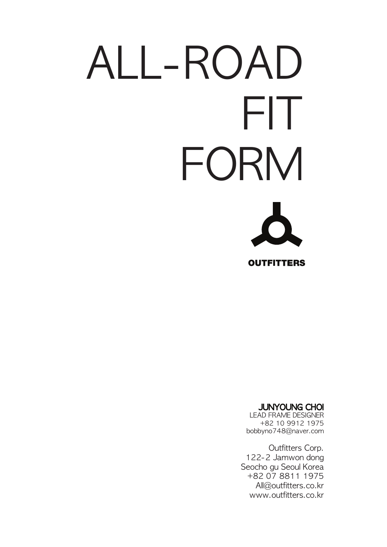# ALL-ROAD FIT FORM

**OUTFITTERS** 

#### JUNYOUNG CHOI

LEAD FRAME DESIGNER +82 10 9912 1975 bobbyno748@naver.com

Outfitters Corp. 122-2 Jamwon dong Seocho gu Seoul Korea +82 07 8811 1975 All@outfitters.co.kr www.outfitters.co.kr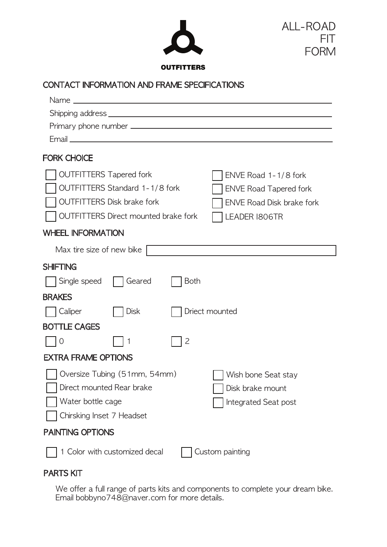



**OUTFITTERS** 

## CONTACT INFORMATION AND FRAME SPECIFICATIONS

| <b>FORK CHOICE</b>                                                                                          |             |                                  |                                                                 |  |  |  |  |  |
|-------------------------------------------------------------------------------------------------------------|-------------|----------------------------------|-----------------------------------------------------------------|--|--|--|--|--|
|                                                                                                             |             |                                  |                                                                 |  |  |  |  |  |
| <b>OUTFITTERS Tapered fork</b>                                                                              |             | ENVE Road 1-1/8 fork             |                                                                 |  |  |  |  |  |
| OUTFITTERS Standard 1-1/8 fork                                                                              |             | <b>ENVE Road Tapered fork</b>    |                                                                 |  |  |  |  |  |
| <b>OUTFITTERS Disk brake fork</b>                                                                           |             | <b>ENVE Road Disk brake fork</b> |                                                                 |  |  |  |  |  |
| <b>OUTFITTERS Direct mounted brake fork</b>                                                                 |             | LEADER 1806TR                    |                                                                 |  |  |  |  |  |
| <b>WHEEL INFORMATION</b>                                                                                    |             |                                  |                                                                 |  |  |  |  |  |
| Max tire size of new bike                                                                                   |             |                                  |                                                                 |  |  |  |  |  |
| <b>SHIFTING</b>                                                                                             |             |                                  |                                                                 |  |  |  |  |  |
| Single speed                                                                                                | Geared      | <b>Both</b>                      |                                                                 |  |  |  |  |  |
| <b>BRAKES</b>                                                                                               |             |                                  |                                                                 |  |  |  |  |  |
| Caliper                                                                                                     | <b>Disk</b> |                                  | Driect mounted                                                  |  |  |  |  |  |
| <b>BOTTLE CAGES</b>                                                                                         |             |                                  |                                                                 |  |  |  |  |  |
| $\overline{0}$                                                                                              | 1           | 2                                |                                                                 |  |  |  |  |  |
| <b>EXTRA FRAME OPTIONS</b>                                                                                  |             |                                  |                                                                 |  |  |  |  |  |
| Oversize Tubing (51mm, 54mm)<br>Direct mounted Rear brake<br>Water bottle cage<br>Chirsking Inset 7 Headset |             |                                  | Wish bone Seat stay<br>Disk brake mount<br>Integrated Seat post |  |  |  |  |  |
| <b>PAINTING OPTIONS</b>                                                                                     |             |                                  |                                                                 |  |  |  |  |  |
| 1 Color with customized decal<br>Custom painting                                                            |             |                                  |                                                                 |  |  |  |  |  |

## PARTS KIT

We offer a full range of parts kits and components to complete your dream bike. Email bobbyno748@naver.com for more details.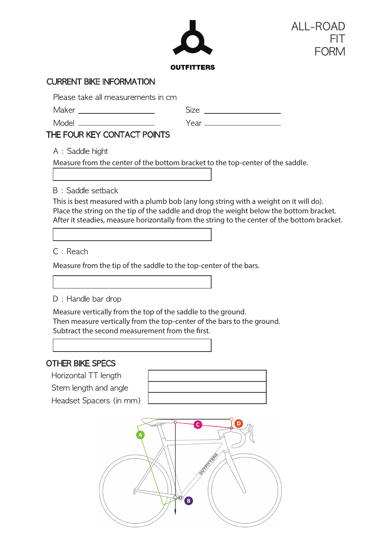

### CURRENT BIKE INFORMATION

Please take all measurements in cm

Maker

Size **Size Size Size Size Size Size Size Size Size Size Size Size Size Size Size Size Size Size Size Size Size Size Size Size Size Size Size Size Size Size Size**

| Model ______                                                                                                                                                                                                                                                                                                                                                                                                                                                                               |  |  |  |
|--------------------------------------------------------------------------------------------------------------------------------------------------------------------------------------------------------------------------------------------------------------------------------------------------------------------------------------------------------------------------------------------------------------------------------------------------------------------------------------------|--|--|--|
| $\blacksquare$ $\blacksquare$ $\blacksquare$ $\blacksquare$ $\blacksquare$ $\blacksquare$ $\blacksquare$ $\blacksquare$ $\blacksquare$ $\blacksquare$ $\blacksquare$ $\blacksquare$ $\blacksquare$ $\blacksquare$ $\blacksquare$ $\blacksquare$ $\blacksquare$ $\blacksquare$ $\blacksquare$ $\blacksquare$ $\blacksquare$ $\blacksquare$ $\blacksquare$ $\blacksquare$ $\blacksquare$ $\blacksquare$ $\blacksquare$ $\blacksquare$ $\blacksquare$ $\blacksquare$ $\blacksquare$ $\blacks$ |  |  |  |

# THE FOUR KEY CONTACT POINTS

A : Saddle hight

Measure from the center of the bottom bracket to the top-center of the saddle.

B : Saddle setback

This is best measured with a plumb bob (any long string with a weight on it will do). Place the string on the tip of the saddle and drop the weight below the bottom bracket. After it steadies, measure horizontally from the string to the center of the bottom bracket.

C : Reach

Measure from the tip of the saddle to the top-center of the bars.

D : Handle bar drop

Measure vertically from the top of the saddle to the ground. Then measure vertically from the top-center of the bars to the ground. Subtract the second measurement from the first.

# OTHER BIKE SPECS

Horizontal TT length

Stem length and angle

Headset Spacers (in mm)